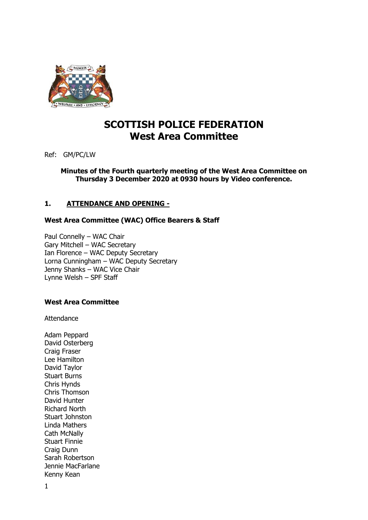

# **SCOTTISH POLICE FEDERATION West Area Committee**

Ref: GM/PC/LW

**Minutes of the Fourth quarterly meeting of the West Area Committee on Thursday 3 December 2020 at 0930 hours by Video conference.** 

# **1. ATTENDANCE AND OPENING -**

### **West Area Committee (WAC) Office Bearers & Staff**

Paul Connelly – WAC Chair Gary Mitchell – WAC Secretary Ian Florence – WAC Deputy Secretary Lorna Cunningham – WAC Deputy Secretary Jenny Shanks – WAC Vice Chair Lynne Welsh – SPF Staff

### **West Area Committee**

Attendance

Adam Peppard David Osterberg Craig Fraser Lee Hamilton David Taylor Stuart Burns Chris Hynds Chris Thomson David Hunter Richard North Stuart Johnston Linda Mathers Cath McNally Stuart Finnie Craig Dunn Sarah Robertson Jennie MacFarlane Kenny Kean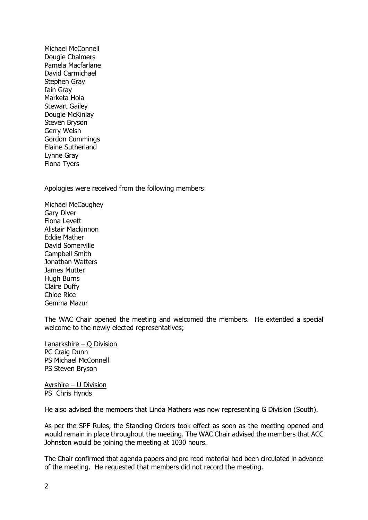Michael McConnell Dougie Chalmers Pamela Macfarlane David Carmichael Stephen Gray Iain Gray Marketa Hola Stewart Gailey Dougie McKinlay Steven Bryson Gerry Welsh Gordon Cummings Elaine Sutherland Lynne Gray Fiona Tyers

Apologies were received from the following members:

Michael McCaughey Gary Diver Fiona Levett Alistair Mackinnon Eddie Mather David Somerville Campbell Smith Jonathan Watters James Mutter Hugh Burns Claire Duffy Chloe Rice Gemma Mazur

The WAC Chair opened the meeting and welcomed the members. He extended a special welcome to the newly elected representatives;

Lanarkshire – Q Division PC Craig Dunn PS Michael McConnell PS Steven Bryson

Ayrshire – U Division PS Chris Hynds

He also advised the members that Linda Mathers was now representing G Division (South).

As per the SPF Rules, the Standing Orders took effect as soon as the meeting opened and would remain in place throughout the meeting. The WAC Chair advised the members that ACC Johnston would be joining the meeting at 1030 hours.

The Chair confirmed that agenda papers and pre read material had been circulated in advance of the meeting. He requested that members did not record the meeting.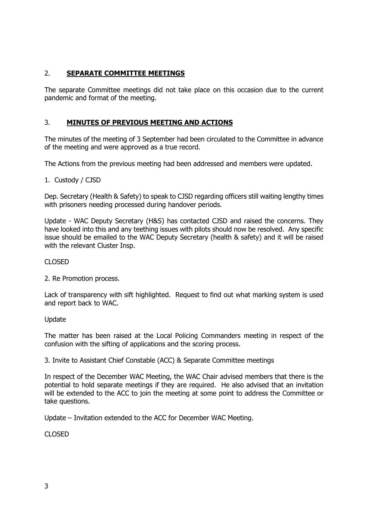# 2. **SEPARATE COMMITTEE MEETINGS**

The separate Committee meetings did not take place on this occasion due to the current pandemic and format of the meeting.

# 3. **MINUTES OF PREVIOUS MEETING AND ACTIONS**

The minutes of the meeting of 3 September had been circulated to the Committee in advance of the meeting and were approved as a true record.

The Actions from the previous meeting had been addressed and members were updated.

1. Custody / CJSD

Dep. Secretary (Health & Safety) to speak to CJSD regarding officers still waiting lengthy times with prisoners needing processed during handover periods.

Update - WAC Deputy Secretary (H&S) has contacted CJSD and raised the concerns. They have looked into this and any teething issues with pilots should now be resolved. Any specific issue should be emailed to the WAC Deputy Secretary (health & safety) and it will be raised with the relevant Cluster Insp.

### CLOSED

2. Re Promotion process.

Lack of transparency with sift highlighted. Request to find out what marking system is used and report back to WAC.

### Update

The matter has been raised at the Local Policing Commanders meeting in respect of the confusion with the sifting of applications and the scoring process.

3. Invite to Assistant Chief Constable (ACC) & Separate Committee meetings

In respect of the December WAC Meeting, the WAC Chair advised members that there is the potential to hold separate meetings if they are required. He also advised that an invitation will be extended to the ACC to join the meeting at some point to address the Committee or take questions.

Update – Invitation extended to the ACC for December WAC Meeting.

CLOSED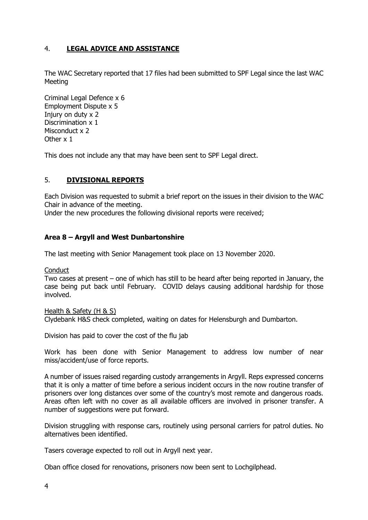# 4. **LEGAL ADVICE AND ASSISTANCE**

The WAC Secretary reported that 17 files had been submitted to SPF Legal since the last WAC Meeting

Criminal Legal Defence x 6 Employment Dispute x 5 Injury on duty x 2 Discrimination x 1 Misconduct x 2 Other x 1

This does not include any that may have been sent to SPF Legal direct.

### 5. **DIVISIONAL REPORTS**

Each Division was requested to submit a brief report on the issues in their division to the WAC Chair in advance of the meeting.

Under the new procedures the following divisional reports were received;

### **Area 8 – Argyll and West Dunbartonshire**

The last meeting with Senior Management took place on 13 November 2020.

**Conduct** 

Two cases at present – one of which has still to be heard after being reported in January, the case being put back until February. COVID delays causing additional hardship for those involved.

Health & Safety (H & S)

Clydebank H&S check completed, waiting on dates for Helensburgh and Dumbarton.

Division has paid to cover the cost of the flu jab

Work has been done with Senior Management to address low number of near miss/accident/use of force reports.

A number of issues raised regarding custody arrangements in Argyll. Reps expressed concerns that it is only a matter of time before a serious incident occurs in the now routine transfer of prisoners over long distances over some of the country's most remote and dangerous roads. Areas often left with no cover as all available officers are involved in prisoner transfer. A number of suggestions were put forward.

Division struggling with response cars, routinely using personal carriers for patrol duties. No alternatives been identified.

Tasers coverage expected to roll out in Argyll next year.

Oban office closed for renovations, prisoners now been sent to Lochgilphead.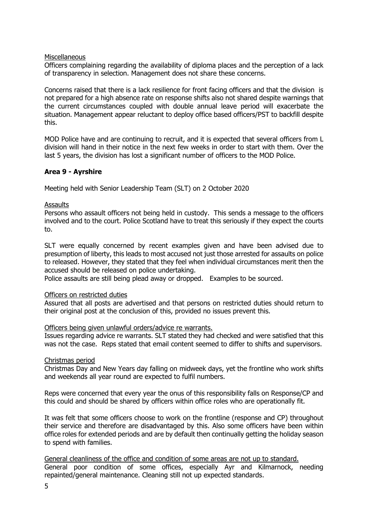### Miscellaneous

Officers complaining regarding the availability of diploma places and the perception of a lack of transparency in selection. Management does not share these concerns.

Concerns raised that there is a lack resilience for front facing officers and that the division is not prepared for a high absence rate on response shifts also not shared despite warnings that the current circumstances coupled with double annual leave period will exacerbate the situation. Management appear reluctant to deploy office based officers/PST to backfill despite this.

MOD Police have and are continuing to recruit, and it is expected that several officers from L division will hand in their notice in the next few weeks in order to start with them. Over the last 5 years, the division has lost a significant number of officers to the MOD Police.

### **Area 9 - Ayrshire**

Meeting held with Senior Leadership Team (SLT) on 2 October 2020

### Assaults

Persons who assault officers not being held in custody. This sends a message to the officers involved and to the court. Police Scotland have to treat this seriously if they expect the courts to.

SLT were equally concerned by recent examples given and have been advised due to presumption of liberty, this leads to most accused not just those arrested for assaults on police to released. However, they stated that they feel when individual circumstances merit then the accused should be released on police undertaking.

Police assaults are still being plead away or dropped. Examples to be sourced.

### Officers on restricted duties

Assured that all posts are advertised and that persons on restricted duties should return to their original post at the conclusion of this, provided no issues prevent this.

### Officers being given unlawful orders/advice re warrants.

Issues regarding advice re warrants. SLT stated they had checked and were satisfied that this was not the case. Reps stated that email content seemed to differ to shifts and supervisors.

### Christmas period

Christmas Day and New Years day falling on midweek days, yet the frontline who work shifts and weekends all year round are expected to fulfil numbers.

Reps were concerned that every year the onus of this responsibility falls on Response/CP and this could and should be shared by officers within office roles who are operationally fit.

It was felt that some officers choose to work on the frontline (response and CP) throughout their service and therefore are disadvantaged by this. Also some officers have been within office roles for extended periods and are by default then continually getting the holiday season to spend with families.

General cleanliness of the office and condition of some areas are not up to standard. General poor condition of some offices, especially Ayr and Kilmarnock, needing repainted/general maintenance. Cleaning still not up expected standards.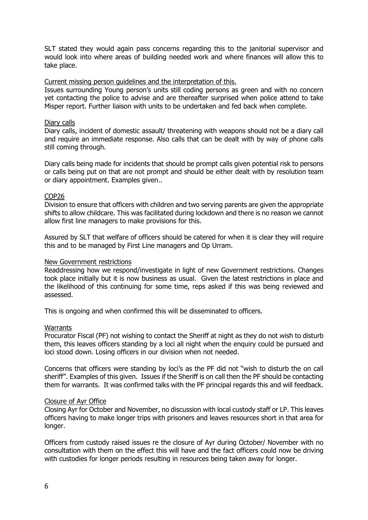SLT stated they would again pass concerns regarding this to the janitorial supervisor and would look into where areas of building needed work and where finances will allow this to take place.

### Current missing person guidelines and the interpretation of this.

Issues surrounding Young person's units still coding persons as green and with no concern yet contacting the police to advise and are thereafter surprised when police attend to take Misper report. Further liaison with units to be undertaken and fed back when complete.

### Diary calls

Diary calls, incident of domestic assault/ threatening with weapons should not be a diary call and require an immediate response. Also calls that can be dealt with by way of phone calls still coming through.

Diary calls being made for incidents that should be prompt calls given potential risk to persons or calls being put on that are not prompt and should be either dealt with by resolution team or diary appointment. Examples given..

### COP26

Division to ensure that officers with children and two serving parents are given the appropriate shifts to allow childcare. This was facilitated during lockdown and there is no reason we cannot allow first line managers to make provisions for this.

Assured by SLT that welfare of officers should be catered for when it is clear they will require this and to be managed by First Line managers and Op Urram.

#### New Government restrictions

Readdressing how we respond/investigate in light of new Government restrictions. Changes took place initially but it is now business as usual. Given the latest restrictions in place and the likelihood of this continuing for some time, reps asked if this was being reviewed and assessed.

This is ongoing and when confirmed this will be disseminated to officers.

### **Warrants**

Procurator Fiscal (PF) not wishing to contact the Sheriff at night as they do not wish to disturb them, this leaves officers standing by a loci all night when the enquiry could be pursued and loci stood down. Losing officers in our division when not needed.

Concerns that officers were standing by loci's as the PF did not "wish to disturb the on call sheriff". Examples of this given. Issues if the Sheriff is on call then the PF should be contacting them for warrants. It was confirmed talks with the PF principal regards this and will feedback.

### Closure of Ayr Office

Closing Ayr for October and November, no discussion with local custody staff or LP. This leaves officers having to make longer trips with prisoners and leaves resources short in that area for longer.

Officers from custody raised issues re the closure of Ayr during October/ November with no consultation with them on the effect this will have and the fact officers could now be driving with custodies for longer periods resulting in resources being taken away for longer.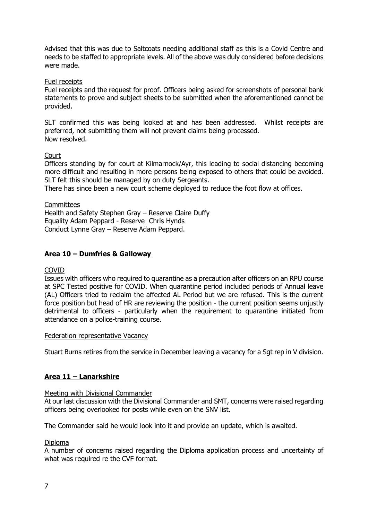Advised that this was due to Saltcoats needing additional staff as this is a Covid Centre and needs to be staffed to appropriate levels. All of the above was duly considered before decisions were made.

### Fuel receipts

Fuel receipts and the request for proof. Officers being asked for screenshots of personal bank statements to prove and subject sheets to be submitted when the aforementioned cannot be provided.

SLT confirmed this was being looked at and has been addressed. Whilst receipts are preferred, not submitting them will not prevent claims being processed. Now resolved.

### **Court**

Officers standing by for court at Kilmarnock/Ayr, this leading to social distancing becoming more difficult and resulting in more persons being exposed to others that could be avoided. SLT felt this should be managed by on duty Sergeants.

There has since been a new court scheme deployed to reduce the foot flow at offices.

### **Committees**

Health and Safety Stephen Gray – Reserve Claire Duffy Equality Adam Peppard - Reserve Chris Hynds Conduct Lynne Gray – Reserve Adam Peppard.

### **Area 10 – Dumfries & Galloway**

### COVID

Issues with officers who required to quarantine as a precaution after officers on an RPU course at SPC Tested positive for COVID. When quarantine period included periods of Annual leave (AL) Officers tried to reclaim the affected AL Period but we are refused. This is the current force position but head of HR are reviewing the position - the current position seems unjustly detrimental to officers - particularly when the requirement to quarantine initiated from attendance on a police-training course.

### Federation representative Vacancy

Stuart Burns retires from the service in December leaving a vacancy for a Sgt rep in V division.

### **Area 11 – Lanarkshire**

### Meeting with Divisional Commander

At our last discussion with the Divisional Commander and SMT, concerns were raised regarding officers being overlooked for posts while even on the SNV list.

The Commander said he would look into it and provide an update, which is awaited.

### Diploma

A number of concerns raised regarding the Diploma application process and uncertainty of what was required re the CVF format.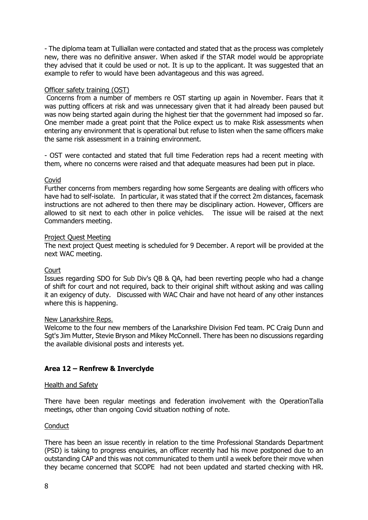- The diploma team at Tulliallan were contacted and stated that as the process was completely new, there was no definitive answer. When asked if the STAR model would be appropriate they advised that it could be used or not. It is up to the applicant. It was suggested that an example to refer to would have been advantageous and this was agreed.

### Officer safety training (OST)

 Concerns from a number of members re OST starting up again in November. Fears that it was putting officers at risk and was unnecessary given that it had already been paused but was now being started again during the highest tier that the government had imposed so far. One member made a great point that the Police expect us to make Risk assessments when entering any environment that is operational but refuse to listen when the same officers make the same risk assessment in a training environment.

- OST were contacted and stated that full time Federation reps had a recent meeting with them, where no concerns were raised and that adequate measures had been put in place.

### Covid

Further concerns from members regarding how some Sergeants are dealing with officers who have had to self-isolate. In particular, it was stated that if the correct 2m distances, facemask instructions are not adhered to then there may be disciplinary action. However, Officers are allowed to sit next to each other in police vehicles. The issue will be raised at the next Commanders meeting.

#### Project Quest Meeting

The next project Quest meeting is scheduled for 9 December. A report will be provided at the next WAC meeting.

### Court

Issues regarding SDO for Sub Div's QB & QA, had been reverting people who had a change of shift for court and not required, back to their original shift without asking and was calling it an exigency of duty. Discussed with WAC Chair and have not heard of any other instances where this is happening.

#### New Lanarkshire Reps.

Welcome to the four new members of the Lanarkshire Division Fed team. PC Craig Dunn and Sgt's Jim Mutter, Stevie Bryson and Mikey McConnell. There has been no discussions regarding the available divisional posts and interests yet.

### **Area 12 – Renfrew & Inverclyde**

#### Health and Safety

There have been regular meetings and federation involvement with the OperationTalla meetings, other than ongoing Covid situation nothing of note.

#### **Conduct**

There has been an issue recently in relation to the time Professional Standards Department (PSD) is taking to progress enquiries, an officer recently had his move postponed due to an outstanding CAP and this was not communicated to them until a week before their move when they became concerned that SCOPE had not been updated and started checking with HR.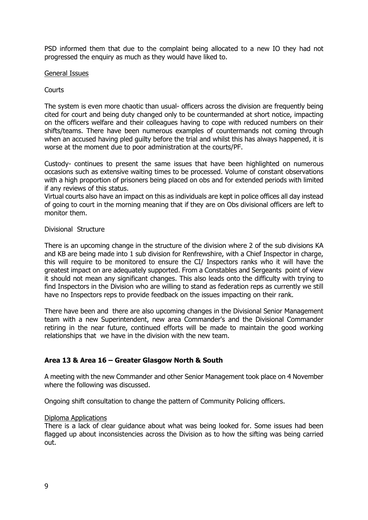PSD informed them that due to the complaint being allocated to a new IO they had not progressed the enquiry as much as they would have liked to.

#### General Issues

### **Courts**

The system is even more chaotic than usual- officers across the division are frequently being cited for court and being duty changed only to be countermanded at short notice, impacting on the officers welfare and their colleagues having to cope with reduced numbers on their shifts/teams. There have been numerous examples of countermands not coming through when an accused having pled guilty before the trial and whilst this has always happened, it is worse at the moment due to poor administration at the courts/PF.

Custody- continues to present the same issues that have been highlighted on numerous occasions such as extensive waiting times to be processed. Volume of constant observations with a high proportion of prisoners being placed on obs and for extended periods with limited if any reviews of this status.

Virtual courts also have an impact on this as individuals are kept in police offices all day instead of going to court in the morning meaning that if they are on Obs divisional officers are left to monitor them.

### Divisional Structure

There is an upcoming change in the structure of the division where 2 of the sub divisions KA and KB are being made into 1 sub division for Renfrewshire, with a Chief Inspector in charge, this will require to be monitored to ensure the CI/ Inspectors ranks who it will have the greatest impact on are adequately supported. From a Constables and Sergeants point of view it should not mean any significant changes. This also leads onto the difficulty with trying to find Inspectors in the Division who are willing to stand as federation reps as currently we still have no Inspectors reps to provide feedback on the issues impacting on their rank.

There have been and there are also upcoming changes in the Divisional Senior Management team with a new Superintendent, new area Commander's and the Divisional Commander retiring in the near future, continued efforts will be made to maintain the good working relationships that we have in the division with the new team.

### **Area 13 & Area 16 – Greater Glasgow North & South**

A meeting with the new Commander and other Senior Management took place on 4 November where the following was discussed.

Ongoing shift consultation to change the pattern of Community Policing officers.

### Diploma Applications

There is a lack of clear guidance about what was being looked for. Some issues had been flagged up about inconsistencies across the Division as to how the sifting was being carried out.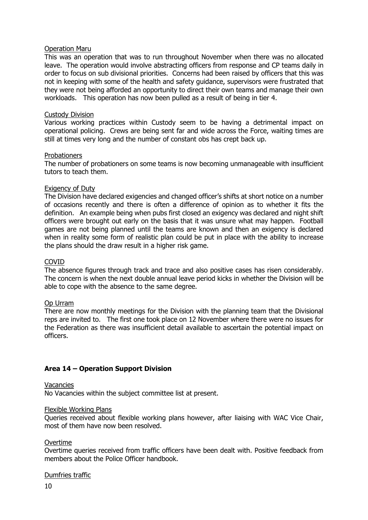### Operation Maru

This was an operation that was to run throughout November when there was no allocated leave. The operation would involve abstracting officers from response and CP teams daily in order to focus on sub divisional priorities. Concerns had been raised by officers that this was not in keeping with some of the health and safety guidance, supervisors were frustrated that they were not being afforded an opportunity to direct their own teams and manage their own workloads. This operation has now been pulled as a result of being in tier 4.

#### Custody Division

Various working practices within Custody seem to be having a detrimental impact on operational policing. Crews are being sent far and wide across the Force, waiting times are still at times very long and the number of constant obs has crept back up.

#### **Probationers**

The number of probationers on some teams is now becoming unmanageable with insufficient tutors to teach them.

#### Exigency of Duty

The Division have declared exigencies and changed officer's shifts at short notice on a number of occasions recently and there is often a difference of opinion as to whether it fits the definition. An example being when pubs first closed an exigency was declared and night shift officers were brought out early on the basis that it was unsure what may happen. Football games are not being planned until the teams are known and then an exigency is declared when in reality some form of realistic plan could be put in place with the ability to increase the plans should the draw result in a higher risk game.

#### COVID

The absence figures through track and trace and also positive cases has risen considerably. The concern is when the next double annual leave period kicks in whether the Division will be able to cope with the absence to the same degree.

### Op Urram

There are now monthly meetings for the Division with the planning team that the Divisional reps are invited to. The first one took place on 12 November where there were no issues for the Federation as there was insufficient detail available to ascertain the potential impact on officers.

### **Area 14 – Operation Support Division**

#### Vacancies

No Vacancies within the subject committee list at present.

#### Flexible Working Plans

Queries received about flexible working plans however, after liaising with WAC Vice Chair, most of them have now been resolved.

#### Overtime

Overtime queries received from traffic officers have been dealt with. Positive feedback from members about the Police Officer handbook.

### Dumfries traffic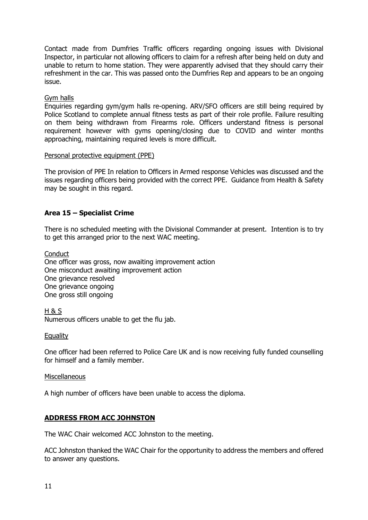Contact made from Dumfries Traffic officers regarding ongoing issues with Divisional Inspector, in particular not allowing officers to claim for a refresh after being held on duty and unable to return to home station. They were apparently advised that they should carry their refreshment in the car. This was passed onto the Dumfries Rep and appears to be an ongoing issue.

### Gym halls

Enquiries regarding gym/gym halls re-opening. ARV/SFO officers are still being required by Police Scotland to complete annual fitness tests as part of their role profile. Failure resulting on them being withdrawn from Firearms role. Officers understand fitness is personal requirement however with gyms opening/closing due to COVID and winter months approaching, maintaining required levels is more difficult.

### Personal protective equipment (PPE)

The provision of PPE In relation to Officers in Armed response Vehicles was discussed and the issues regarding officers being provided with the correct PPE. Guidance from Health & Safety may be sought in this regard.

### **Area 15 – Specialist Crime**

There is no scheduled meeting with the Divisional Commander at present. Intention is to try to get this arranged prior to the next WAC meeting.

**Conduct** One officer was gross, now awaiting improvement action One misconduct awaiting improvement action One grievance resolved One grievance ongoing One gross still ongoing

H & S Numerous officers unable to get the flu jab.

### **Equality**

One officer had been referred to Police Care UK and is now receiving fully funded counselling for himself and a family member.

#### Miscellaneous

A high number of officers have been unable to access the diploma.

### **ADDRESS FROM ACC JOHNSTON**

The WAC Chair welcomed ACC Johnston to the meeting.

ACC Johnston thanked the WAC Chair for the opportunity to address the members and offered to answer any questions.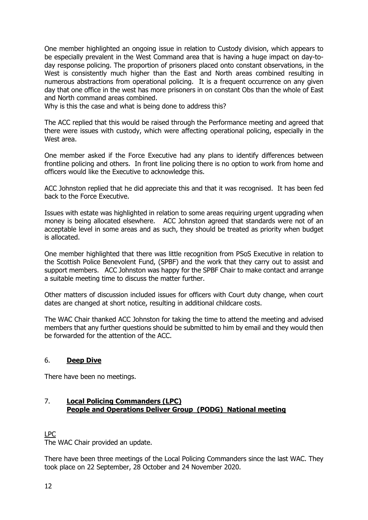One member highlighted an ongoing issue in relation to Custody division, which appears to be especially prevalent in the West Command area that is having a huge impact on day-today response policing. The proportion of prisoners placed onto constant observations, in the West is consistently much higher than the East and North areas combined resulting in numerous abstractions from operational policing. It is a frequent occurrence on any given day that one office in the west has more prisoners in on constant Obs than the whole of East and North command areas combined.

Why is this the case and what is being done to address this?

The ACC replied that this would be raised through the Performance meeting and agreed that there were issues with custody, which were affecting operational policing, especially in the West area.

One member asked if the Force Executive had any plans to identify differences between frontline policing and others. In front line policing there is no option to work from home and officers would like the Executive to acknowledge this.

ACC Johnston replied that he did appreciate this and that it was recognised. It has been fed back to the Force Executive.

Issues with estate was highlighted in relation to some areas requiring urgent upgrading when money is being allocated elsewhere. ACC Johnston agreed that standards were not of an acceptable level in some areas and as such, they should be treated as priority when budget is allocated.

One member highlighted that there was little recognition from PSoS Executive in relation to the Scottish Police Benevolent Fund, (SPBF) and the work that they carry out to assist and support members. ACC Johnston was happy for the SPBF Chair to make contact and arrange a suitable meeting time to discuss the matter further.

Other matters of discussion included issues for officers with Court duty change, when court dates are changed at short notice, resulting in additional childcare costs.

The WAC Chair thanked ACC Johnston for taking the time to attend the meeting and advised members that any further questions should be submitted to him by email and they would then be forwarded for the attention of the ACC.

### 6. **Deep Dive**

There have been no meetings.

### 7. **Local Policing Commanders (LPC) People and Operations Deliver Group (PODG) National meeting**

LPC

The WAC Chair provided an update.

There have been three meetings of the Local Policing Commanders since the last WAC. They took place on 22 September, 28 October and 24 November 2020.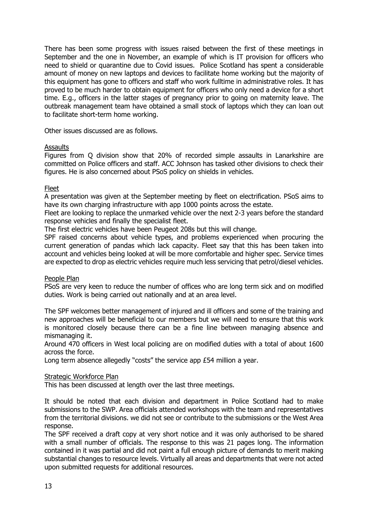There has been some progress with issues raised between the first of these meetings in September and the one in November, an example of which is IT provision for officers who need to shield or quarantine due to Covid issues. Police Scotland has spent a considerable amount of money on new laptops and devices to facilitate home working but the majority of this equipment has gone to officers and staff who work fulltime in administrative roles. It has proved to be much harder to obtain equipment for officers who only need a device for a short time. E.g., officers in the latter stages of pregnancy prior to going on maternity leave. The outbreak management team have obtained a small stock of laptops which they can loan out to facilitate short-term home working.

Other issues discussed are as follows.

### Assaults

Figures from Q division show that 20% of recorded simple assaults in Lanarkshire are committed on Police officers and staff. ACC Johnson has tasked other divisions to check their figures. He is also concerned about PSoS policy on shields in vehicles.

### Fleet

A presentation was given at the September meeting by fleet on electrification. PSoS aims to have its own charging infrastructure with app 1000 points across the estate.

Fleet are looking to replace the unmarked vehicle over the next 2-3 years before the standard response vehicles and finally the specialist fleet.

The first electric vehicles have been Peugeot 208s but this will change.

SPF raised concerns about vehicle types, and problems experienced when procuring the current generation of pandas which lack capacity. Fleet say that this has been taken into account and vehicles being looked at will be more comfortable and higher spec. Service times are expected to drop as electric vehicles require much less servicing that petrol/diesel vehicles.

### People Plan

PSoS are very keen to reduce the number of offices who are long term sick and on modified duties. Work is being carried out nationally and at an area level.

The SPF welcomes better management of injured and ill officers and some of the training and new approaches will be beneficial to our members but we will need to ensure that this work is monitored closely because there can be a fine line between managing absence and mismanaging it.

Around 470 officers in West local policing are on modified duties with a total of about 1600 across the force.

Long term absence allegedly "costs" the service app £54 million a year.

### Strategic Workforce Plan

This has been discussed at length over the last three meetings.

It should be noted that each division and department in Police Scotland had to make submissions to the SWP. Area officials attended workshops with the team and representatives from the territorial divisions. we did not see or contribute to the submissions or the West Area response.

The SPF received a draft copy at very short notice and it was only authorised to be shared with a small number of officials. The response to this was 21 pages long. The information contained in it was partial and did not paint a full enough picture of demands to merit making substantial changes to resource levels. Virtually all areas and departments that were not acted upon submitted requests for additional resources.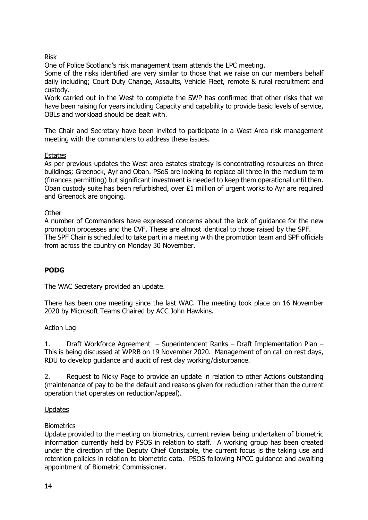# Risk

One of Police Scotland's risk management team attends the LPC meeting.

Some of the risks identified are very similar to those that we raise on our members behalf daily including; Court Duty Change, Assaults, Vehicle Fleet, remote & rural recruitment and custody.

Work carried out in the West to complete the SWP has confirmed that other risks that we have been raising for years including Capacity and capability to provide basic levels of service, OBLs and workload should be dealt with.

The Chair and Secretary have been invited to participate in a West Area risk management meeting with the commanders to address these issues.

### **Estates**

As per previous updates the West area estates strategy is concentrating resources on three buildings; Greenock, Ayr and Oban. PSoS are looking to replace all three in the medium term (finances permitting) but significant investment is needed to keep them operational until then. Oban custody suite has been refurbished, over £1 million of urgent works to Ayr are required and Greenock are ongoing.

### **Other**

A number of Commanders have expressed concerns about the lack of guidance for the new promotion processes and the CVF. These are almost identical to those raised by the SPF. The SPF Chair is scheduled to take part in a meeting with the promotion team and SPF officials from across the country on Monday 30 November.

### **PODG**

The WAC Secretary provided an update.

There has been one meeting since the last WAC. The meeting took place on 16 November 2020 by Microsoft Teams Chaired by ACC John Hawkins.

### Action Log

1. Draft Workforce Agreement – Superintendent Ranks – Draft Implementation Plan – This is being discussed at WPRB on 19 November 2020. Management of on call on rest days, RDU to develop guidance and audit of rest day working/disturbance.

2. Request to Nicky Page to provide an update in relation to other Actions outstanding (maintenance of pay to be the default and reasons given for reduction rather than the current operation that operates on reduction/appeal).

### Updates

### **Biometrics**

Update provided to the meeting on biometrics, current review being undertaken of biometric information currently held by PSOS in relation to staff. A working group has been created under the direction of the Deputy Chief Constable, the current focus is the taking use and retention policies in relation to biometric data. PSOS following NPCC guidance and awaiting appointment of Biometric Commissioner.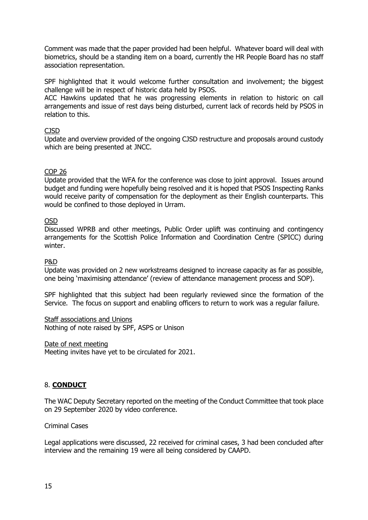Comment was made that the paper provided had been helpful. Whatever board will deal with biometrics, should be a standing item on a board, currently the HR People Board has no staff association representation.

SPF highlighted that it would welcome further consultation and involvement; the biggest challenge will be in respect of historic data held by PSOS.

ACC Hawkins updated that he was progressing elements in relation to historic on call arrangements and issue of rest days being disturbed, current lack of records held by PSOS in relation to this.

### CJSD

Update and overview provided of the ongoing CJSD restructure and proposals around custody which are being presented at JNCC.

### COP 26

Update provided that the WFA for the conference was close to joint approval. Issues around budget and funding were hopefully being resolved and it is hoped that PSOS Inspecting Ranks would receive parity of compensation for the deployment as their English counterparts. This would be confined to those deployed in Urram.

### OSD

Discussed WPRB and other meetings, Public Order uplift was continuing and contingency arrangements for the Scottish Police Information and Coordination Centre (SPICC) during winter.

### P&D

Update was provided on 2 new workstreams designed to increase capacity as far as possible, one being 'maximising attendance' (review of attendance management process and SOP).

SPF highlighted that this subject had been regularly reviewed since the formation of the Service. The focus on support and enabling officers to return to work was a regular failure.

### Staff associations and Unions

Nothing of note raised by SPF, ASPS or Unison

Date of next meeting

Meeting invites have yet to be circulated for 2021.

### 8. **CONDUCT**

The WAC Deputy Secretary reported on the meeting of the Conduct Committee that took place on 29 September 2020 by video conference.

### Criminal Cases

Legal applications were discussed, 22 received for criminal cases, 3 had been concluded after interview and the remaining 19 were all being considered by CAAPD.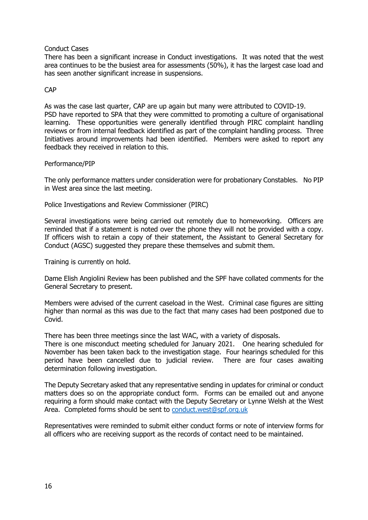### Conduct Cases

There has been a significant increase in Conduct investigations. It was noted that the west area continues to be the busiest area for assessments (50%), it has the largest case load and has seen another significant increase in suspensions.

### CAP

As was the case last quarter, CAP are up again but many were attributed to COVID-19. PSD have reported to SPA that they were committed to promoting a culture of organisational learning. These opportunities were generally identified through PIRC complaint handling reviews or from internal feedback identified as part of the complaint handling process. Three Initiatives around improvements had been identified. Members were asked to report any feedback they received in relation to this.

### Performance/PIP

The only performance matters under consideration were for probationary Constables. No PIP in West area since the last meeting.

Police Investigations and Review Commissioner (PIRC)

Several investigations were being carried out remotely due to homeworking. Officers are reminded that if a statement is noted over the phone they will not be provided with a copy. If officers wish to retain a copy of their statement, the Assistant to General Secretary for Conduct (AGSC) suggested they prepare these themselves and submit them.

Training is currently on hold.

Dame Elish Angiolini Review has been published and the SPF have collated comments for the General Secretary to present.

Members were advised of the current caseload in the West. Criminal case figures are sitting higher than normal as this was due to the fact that many cases had been postponed due to Covid.

There has been three meetings since the last WAC, with a variety of disposals.

There is one misconduct meeting scheduled for January 2021. One hearing scheduled for November has been taken back to the investigation stage. Four hearings scheduled for this period have been cancelled due to judicial review. There are four cases awaiting determination following investigation.

The Deputy Secretary asked that any representative sending in updates for criminal or conduct matters does so on the appropriate conduct form. Forms can be emailed out and anyone requiring a form should make contact with the Deputy Secretary or Lynne Welsh at the West Area. Completed forms should be sent to [conduct.west@spf.org.uk](mailto:conduct.west@spf.org.uk)

Representatives were reminded to submit either conduct forms or note of interview forms for all officers who are receiving support as the records of contact need to be maintained.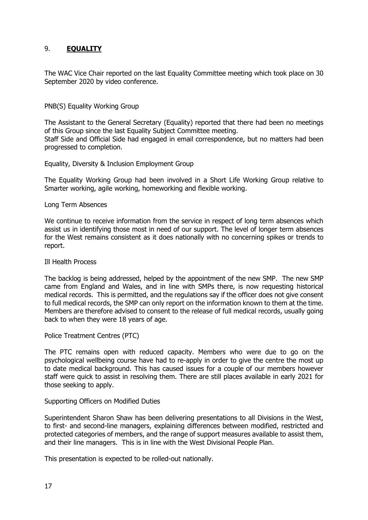### 9. **EQUALITY**

The WAC Vice Chair reported on the last Equality Committee meeting which took place on 30 September 2020 by video conference.

### PNB(S) Equality Working Group

The Assistant to the General Secretary (Equality) reported that there had been no meetings of this Group since the last Equality Subject Committee meeting. Staff Side and Official Side had engaged in email correspondence, but no matters had been progressed to completion.

#### Equality, Diversity & Inclusion Employment Group

The Equality Working Group had been involved in a Short Life Working Group relative to Smarter working, agile working, homeworking and flexible working.

#### Long Term Absences

We continue to receive information from the service in respect of long term absences which assist us in identifying those most in need of our support. The level of longer term absences for the West remains consistent as it does nationally with no concerning spikes or trends to report.

#### Ill Health Process

The backlog is being addressed, helped by the appointment of the new SMP. The new SMP came from England and Wales, and in line with SMPs there, is now requesting historical medical records. This is permitted, and the regulations say if the officer does not give consent to full medical records, the SMP can only report on the information known to them at the time. Members are therefore advised to consent to the release of full medical records, usually going back to when they were 18 years of age.

#### Police Treatment Centres (PTC)

The PTC remains open with reduced capacity. Members who were due to go on the psychological wellbeing course have had to re-apply in order to give the centre the most up to date medical background. This has caused issues for a couple of our members however staff were quick to assist in resolving them. There are still places available in early 2021 for those seeking to apply.

#### Supporting Officers on Modified Duties

Superintendent Sharon Shaw has been delivering presentations to all Divisions in the West, to first- and second-line managers, explaining differences between modified, restricted and protected categories of members, and the range of support measures available to assist them, and their line managers. This is in line with the West Divisional People Plan.

This presentation is expected to be rolled-out nationally.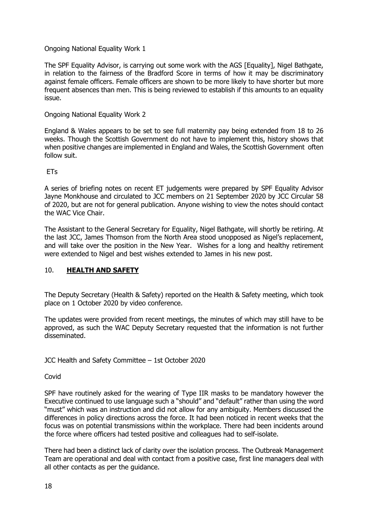### Ongoing National Equality Work 1

The SPF Equality Advisor, is carrying out some work with the AGS [Equality], Nigel Bathgate, in relation to the fairness of the Bradford Score in terms of how it may be discriminatory against female officers. Female officers are shown to be more likely to have shorter but more frequent absences than men. This is being reviewed to establish if this amounts to an equality issue.

### Ongoing National Equality Work 2

England & Wales appears to be set to see full maternity pay being extended from 18 to 26 weeks. Though the Scottish Government do not have to implement this, history shows that when positive changes are implemented in England and Wales, the Scottish Government often follow suit.

ETs

A series of briefing notes on recent ET judgements were prepared by SPF Equality Advisor Jayne Monkhouse and circulated to JCC members on 21 September 2020 by JCC Circular 58 of 2020, but are not for general publication. Anyone wishing to view the notes should contact the WAC Vice Chair.

The Assistant to the General Secretary for Equality, Nigel Bathgate, will shortly be retiring. At the last JCC, James Thomson from the North Area stood unopposed as Nigel's replacement, and will take over the position in the New Year. Wishes for a long and healthy retirement were extended to Nigel and best wishes extended to James in his new post.

### 10. **HEALTH AND SAFETY**

The Deputy Secretary (Health & Safety) reported on the Health & Safety meeting, which took place on 1 October 2020 by video conference.

The updates were provided from recent meetings, the minutes of which may still have to be approved, as such the WAC Deputy Secretary requested that the information is not further disseminated.

JCC Health and Safety Committee – 1st October 2020

Covid

SPF have routinely asked for the wearing of Type IIR masks to be mandatory however the Executive continued to use language such a "should" and "default" rather than using the word "must" which was an instruction and did not allow for any ambiguity. Members discussed the differences in policy directions across the force. It had been noticed in recent weeks that the focus was on potential transmissions within the workplace. There had been incidents around the force where officers had tested positive and colleagues had to self-isolate.

There had been a distinct lack of clarity over the isolation process. The Outbreak Management Team are operational and deal with contact from a positive case, first line managers deal with all other contacts as per the guidance.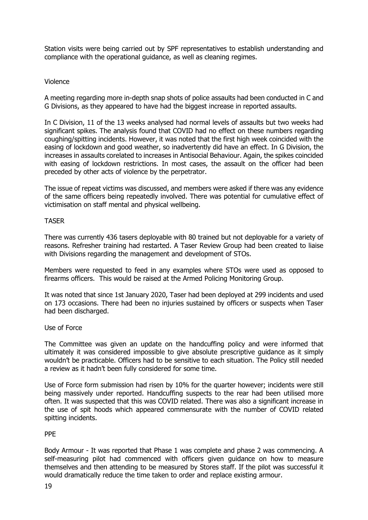Station visits were being carried out by SPF representatives to establish understanding and compliance with the operational guidance, as well as cleaning regimes.

### Violence

A meeting regarding more in-depth snap shots of police assaults had been conducted in C and G Divisions, as they appeared to have had the biggest increase in reported assaults.

In C Division, 11 of the 13 weeks analysed had normal levels of assaults but two weeks had significant spikes. The analysis found that COVID had no effect on these numbers regarding coughing/spitting incidents. However, it was noted that the first high week coincided with the easing of lockdown and good weather, so inadvertently did have an effect. In G Division, the increases in assaults corelated to increases in Antisocial Behaviour. Again, the spikes coincided with easing of lockdown restrictions. In most cases, the assault on the officer had been preceded by other acts of violence by the perpetrator.

The issue of repeat victims was discussed, and members were asked if there was any evidence of the same officers being repeatedly involved. There was potential for cumulative effect of victimisation on staff mental and physical wellbeing.

### TASER

There was currently 436 tasers deployable with 80 trained but not deployable for a variety of reasons. Refresher training had restarted. A Taser Review Group had been created to liaise with Divisions regarding the management and development of STOs.

Members were requested to feed in any examples where STOs were used as opposed to firearms officers. This would be raised at the Armed Policing Monitoring Group.

It was noted that since 1st January 2020, Taser had been deployed at 299 incidents and used on 173 occasions. There had been no injuries sustained by officers or suspects when Taser had been discharged.

### Use of Force

The Committee was given an update on the handcuffing policy and were informed that ultimately it was considered impossible to give absolute prescriptive guidance as it simply wouldn't be practicable. Officers had to be sensitive to each situation. The Policy still needed a review as it hadn't been fully considered for some time.

Use of Force form submission had risen by 10% for the quarter however; incidents were still being massively under reported. Handcuffing suspects to the rear had been utilised more often. It was suspected that this was COVID related. There was also a significant increase in the use of spit hoods which appeared commensurate with the number of COVID related spitting incidents.

### PPE

Body Armour - It was reported that Phase 1 was complete and phase 2 was commencing. A self-measuring pilot had commenced with officers given guidance on how to measure themselves and then attending to be measured by Stores staff. If the pilot was successful it would dramatically reduce the time taken to order and replace existing armour.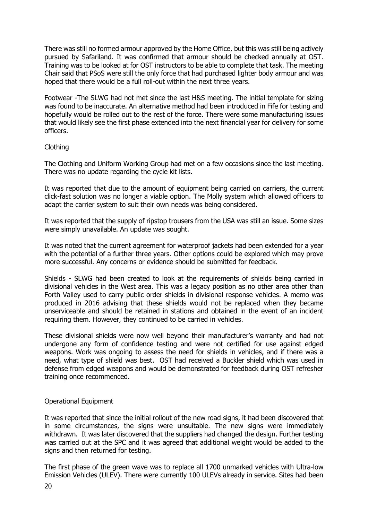There was still no formed armour approved by the Home Office, but this was still being actively pursued by Safariland. It was confirmed that armour should be checked annually at OST. Training was to be looked at for OST instructors to be able to complete that task. The meeting Chair said that PSoS were still the only force that had purchased lighter body armour and was hoped that there would be a full roll-out within the next three years.

Footwear -The SLWG had not met since the last H&S meeting. The initial template for sizing was found to be inaccurate. An alternative method had been introduced in Fife for testing and hopefully would be rolled out to the rest of the force. There were some manufacturing issues that would likely see the first phase extended into the next financial year for delivery for some officers.

### Clothing

The Clothing and Uniform Working Group had met on a few occasions since the last meeting. There was no update regarding the cycle kit lists.

It was reported that due to the amount of equipment being carried on carriers, the current click-fast solution was no longer a viable option. The Molly system which allowed officers to adapt the carrier system to suit their own needs was being considered.

It was reported that the supply of ripstop trousers from the USA was still an issue. Some sizes were simply unavailable. An update was sought.

It was noted that the current agreement for waterproof jackets had been extended for a year with the potential of a further three years. Other options could be explored which may prove more successful. Any concerns or evidence should be submitted for feedback.

Shields - SLWG had been created to look at the requirements of shields being carried in divisional vehicles in the West area. This was a legacy position as no other area other than Forth Valley used to carry public order shields in divisional response vehicles. A memo was produced in 2016 advising that these shields would not be replaced when they became unserviceable and should be retained in stations and obtained in the event of an incident requiring them. However, they continued to be carried in vehicles.

These divisional shields were now well beyond their manufacturer's warranty and had not undergone any form of confidence testing and were not certified for use against edged weapons. Work was ongoing to assess the need for shields in vehicles, and if there was a need, what type of shield was best. OST had received a Buckler shield which was used in defense from edged weapons and would be demonstrated for feedback during OST refresher training once recommenced.

### Operational Equipment

It was reported that since the initial rollout of the new road signs, it had been discovered that in some circumstances, the signs were unsuitable. The new signs were immediately withdrawn. It was later discovered that the suppliers had changed the design. Further testing was carried out at the SPC and it was agreed that additional weight would be added to the signs and then returned for testing.

The first phase of the green wave was to replace all 1700 unmarked vehicles with Ultra-low Emission Vehicles (ULEV). There were currently 100 ULEVs already in service. Sites had been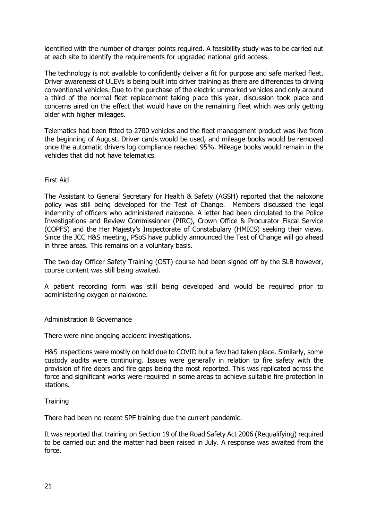identified with the number of charger points required. A feasibility study was to be carried out at each site to identify the requirements for upgraded national grid access.

The technology is not available to confidently deliver a fit for purpose and safe marked fleet. Driver awareness of ULEVs is being built into driver training as there are differences to driving conventional vehicles. Due to the purchase of the electric unmarked vehicles and only around a third of the normal fleet replacement taking place this year, discussion took place and concerns aired on the effect that would have on the remaining fleet which was only getting older with higher mileages.

Telematics had been fitted to 2700 vehicles and the fleet management product was live from the beginning of August. Driver cards would be used, and mileage books would be removed once the automatic drivers log compliance reached 95%. Mileage books would remain in the vehicles that did not have telematics.

### First Aid

The Assistant to General Secretary for Health & Safety (AGSH) reported that the naloxone policy was still being developed for the Test of Change. Members discussed the legal indemnity of officers who administered naloxone. A letter had been circulated to the Police Investigations and Review Commissioner (PIRC), Crown Office & Procurator Fiscal Service (COPFS) and the Her Majesty's Inspectorate of Constabulary (HMICS) seeking their views. Since the JCC H&S meeting, PSoS have publicly announced the Test of Change will go ahead in three areas. This remains on a voluntary basis.

The two-day Officer Safety Training (OST) course had been signed off by the SLB however, course content was still being awaited.

A patient recording form was still being developed and would be required prior to administering oxygen or naloxone.

### Administration & Governance

There were nine ongoing accident investigations.

H&S inspections were mostly on hold due to COVID but a few had taken place. Similarly, some custody audits were continuing. Issues were generally in relation to fire safety with the provision of fire doors and fire gaps being the most reported. This was replicated across the force and significant works were required in some areas to achieve suitable fire protection in stations.

#### **Training**

There had been no recent SPF training due the current pandemic.

It was reported that training on Section 19 of the Road Safety Act 2006 (Requalifying) required to be carried out and the matter had been raised in July. A response was awaited from the force.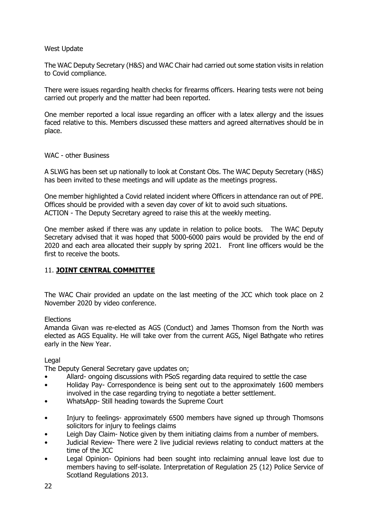### West Update

The WAC Deputy Secretary (H&S) and WAC Chair had carried out some station visits in relation to Covid compliance.

There were issues regarding health checks for firearms officers. Hearing tests were not being carried out properly and the matter had been reported.

One member reported a local issue regarding an officer with a latex allergy and the issues faced relative to this. Members discussed these matters and agreed alternatives should be in place.

### WAC - other Business

A SLWG has been set up nationally to look at Constant Obs. The WAC Deputy Secretary (H&S) has been invited to these meetings and will update as the meetings progress.

One member highlighted a Covid related incident where Officers in attendance ran out of PPE. Offices should be provided with a seven day cover of kit to avoid such situations. ACTION - The Deputy Secretary agreed to raise this at the weekly meeting.

One member asked if there was any update in relation to police boots. The WAC Deputy Secretary advised that it was hoped that 5000-6000 pairs would be provided by the end of 2020 and each area allocated their supply by spring 2021. Front line officers would be the first to receive the boots.

### 11. **JOINT CENTRAL COMMITTEE**

The WAC Chair provided an update on the last meeting of the JCC which took place on 2 November 2020 by video conference.

### **Elections**

Amanda Givan was re-elected as AGS (Conduct) and James Thomson from the North was elected as AGS Equality. He will take over from the current AGS, Nigel Bathgate who retires early in the New Year.

### Legal

The Deputy General Secretary gave updates on;

- Allard- ongoing discussions with PSoS regarding data required to settle the case
- Holiday Pay- Correspondence is being sent out to the approximately 1600 members involved in the case regarding trying to negotiate a better settlement.
- WhatsApp- Still heading towards the Supreme Court
- Injury to feelings- approximately 6500 members have signed up through Thomsons solicitors for injury to feelings claims
- Leigh Day Claim- Notice given by them initiating claims from a number of members.
- Judicial Review- There were 2 live judicial reviews relating to conduct matters at the time of the JCC
- Legal Opinion- Opinions had been sought into reclaiming annual leave lost due to members having to self-isolate. Interpretation of Regulation 25 (12) Police Service of Scotland Regulations 2013.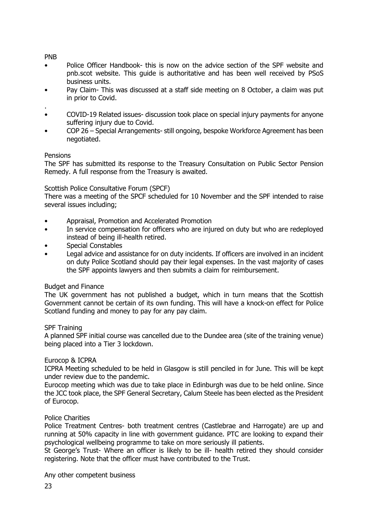### PNB

- Police Officer Handbook- this is now on the advice section of the SPF website and pnb.scot website. This guide is authoritative and has been well received by PSoS business units.
- Pay Claim- This was discussed at a staff side meeting on 8 October, a claim was put in prior to Covid.
- . • COVID-19 Related issues- discussion took place on special injury payments for anyone suffering injury due to Covid.
- COP 26 Special Arrangements- still ongoing, bespoke Workforce Agreement has been negotiated.

### **Pensions**

The SPF has submitted its response to the Treasury Consultation on Public Sector Pension Remedy. A full response from the Treasury is awaited.

### Scottish Police Consultative Forum (SPCF)

There was a meeting of the SPCF scheduled for 10 November and the SPF intended to raise several issues including;

- Appraisal, Promotion and Accelerated Promotion
- In service compensation for officers who are injured on duty but who are redeployed instead of being ill-health retired.
- Special Constables
- Legal advice and assistance for on duty incidents. If officers are involved in an incident on duty Police Scotland should pay their legal expenses. In the vast majority of cases the SPF appoints lawyers and then submits a claim for reimbursement.

### Budget and Finance

The UK government has not published a budget, which in turn means that the Scottish Government cannot be certain of its own funding. This will have a knock-on effect for Police Scotland funding and money to pay for any pay claim.

### SPF Training

A planned SPF initial course was cancelled due to the Dundee area (site of the training venue) being placed into a Tier 3 lockdown.

### Eurocop & ICPRA

ICPRA Meeting scheduled to be held in Glasgow is still penciled in for June. This will be kept under review due to the pandemic.

Eurocop meeting which was due to take place in Edinburgh was due to be held online. Since the JCC took place, the SPF General Secretary, Calum Steele has been elected as the President of Eurocop.

### Police Charities

Police Treatment Centres- both treatment centres (Castlebrae and Harrogate) are up and running at 50% capacity in line with government guidance. PTC are looking to expand their psychological wellbeing programme to take on more seriously ill patients.

St George's Trust- Where an officer is likely to be ill- health retired they should consider registering. Note that the officer must have contributed to the Trust.

Any other competent business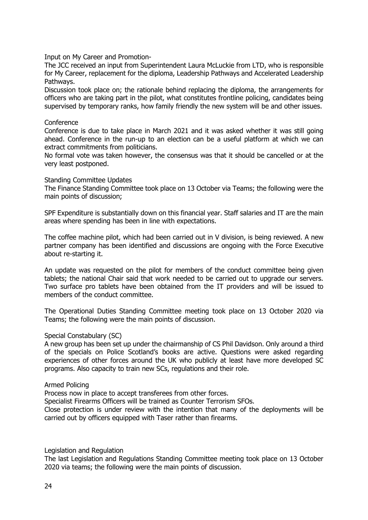Input on My Career and Promotion-

The JCC received an input from Superintendent Laura McLuckie from LTD, who is responsible for My Career, replacement for the diploma, Leadership Pathways and Accelerated Leadership Pathways.

Discussion took place on; the rationale behind replacing the diploma, the arrangements for officers who are taking part in the pilot, what constitutes frontline policing, candidates being supervised by temporary ranks, how family friendly the new system will be and other issues.

#### **Conference**

Conference is due to take place in March 2021 and it was asked whether it was still going ahead. Conference in the run-up to an election can be a useful platform at which we can extract commitments from politicians.

No formal vote was taken however, the consensus was that it should be cancelled or at the very least postponed.

#### Standing Committee Updates

The Finance Standing Committee took place on 13 October via Teams; the following were the main points of discussion;

SPF Expenditure is substantially down on this financial year. Staff salaries and IT are the main areas where spending has been in line with expectations.

The coffee machine pilot, which had been carried out in V division, is being reviewed. A new partner company has been identified and discussions are ongoing with the Force Executive about re-starting it.

An update was requested on the pilot for members of the conduct committee being given tablets; the national Chair said that work needed to be carried out to upgrade our servers. Two surface pro tablets have been obtained from the IT providers and will be issued to members of the conduct committee.

The Operational Duties Standing Committee meeting took place on 13 October 2020 via Teams; the following were the main points of discussion.

### Special Constabulary (SC)

A new group has been set up under the chairmanship of CS Phil Davidson. Only around a third of the specials on Police Scotland's books are active. Questions were asked regarding experiences of other forces around the UK who publicly at least have more developed SC programs. Also capacity to train new SCs, regulations and their role.

#### Armed Policing

Process now in place to accept transferees from other forces.

Specialist Firearms Officers will be trained as Counter Terrorism SFOs.

Close protection is under review with the intention that many of the deployments will be carried out by officers equipped with Taser rather than firearms.

#### Legislation and Regulation

The last Legislation and Regulations Standing Committee meeting took place on 13 October 2020 via teams; the following were the main points of discussion.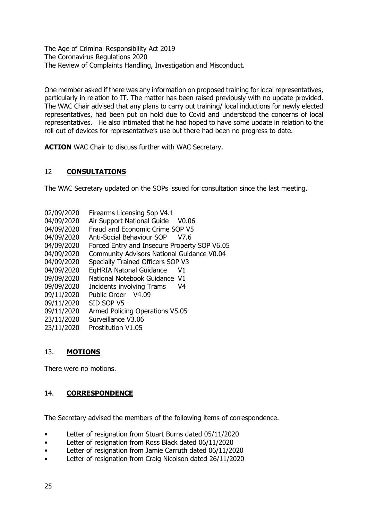The Age of Criminal Responsibility Act 2019 The Coronavirus Regulations 2020 The Review of Complaints Handling, Investigation and Misconduct.

One member asked if there was any information on proposed training for local representatives, particularly in relation to IT. The matter has been raised previously with no update provided. The WAC Chair advised that any plans to carry out training/ local inductions for newly elected representatives, had been put on hold due to Covid and understood the concerns of local representatives. He also intimated that he had hoped to have some update in relation to the roll out of devices for representative's use but there had been no progress to date.

**ACTION** WAC Chair to discuss further with WAC Secretary.

# 12 **CONSULTATIONS**

The WAC Secretary updated on the SOPs issued for consultation since the last meeting.

- 02/09/2020 Firearms Licensing Sop V4.1
- 04/09/2020 Air Support National Guide V0.06
- 04/09/2020 Fraud and Economic Crime SOP V5
- 04/09/2020 Anti-Social Behaviour SOP V7.6
- 04/09/2020 Forced Entry and Insecure Property SOP V6.05
- 04/09/2020 Community Advisors National Guidance V0.04
- 04/09/2020 Specially Trained Officers SOP V3
- 04/09/2020 EqHRIA Natonal Guidance V1
- 09/09/2020 National Notebook Guidance V1
- 09/09/2020 Incidents involving Trams V4
- 09/11/2020 Public Order V4.09
- 09/11/2020 SID SOP V5
- 09/11/2020 Armed Policing Operations V5.05
- 23/11/2020 Surveillance V3.06
- 23/11/2020 Prostitution V1.05

# 13. **MOTIONS**

There were no motions.

### 14. **CORRESPONDENCE**

The Secretary advised the members of the following items of correspondence.

- Letter of resignation from Stuart Burns dated 05/11/2020
- Letter of resignation from Ross Black dated 06/11/2020
- Letter of resignation from Jamie Carruth dated 06/11/2020
- Letter of resignation from Craig Nicolson dated 26/11/2020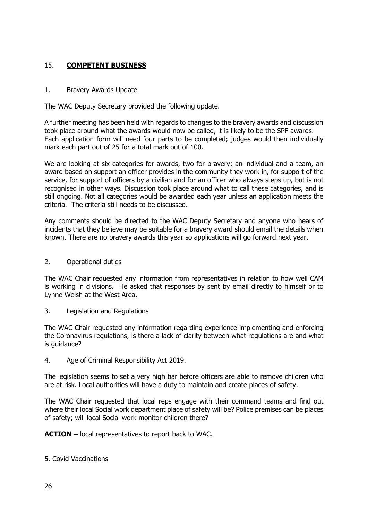# 15. **COMPETENT BUSINESS**

### 1. Bravery Awards Update

The WAC Deputy Secretary provided the following update.

A further meeting has been held with regards to changes to the bravery awards and discussion took place around what the awards would now be called, it is likely to be the SPF awards. Each application form will need four parts to be completed; judges would then individually mark each part out of 25 for a total mark out of 100.

We are looking at six categories for awards, two for bravery; an individual and a team, an award based on support an officer provides in the community they work in, for support of the service, for support of officers by a civilian and for an officer who always steps up, but is not recognised in other ways. Discussion took place around what to call these categories, and is still ongoing. Not all categories would be awarded each year unless an application meets the criteria. The criteria still needs to be discussed.

Any comments should be directed to the WAC Deputy Secretary and anyone who hears of incidents that they believe may be suitable for a bravery award should email the details when known. There are no bravery awards this year so applications will go forward next year.

2. Operational duties

The WAC Chair requested any information from representatives in relation to how well CAM is working in divisions. He asked that responses by sent by email directly to himself or to Lynne Welsh at the West Area.

3. Legislation and Regulations

The WAC Chair requested any information regarding experience implementing and enforcing the Coronavirus regulations, is there a lack of clarity between what regulations are and what is guidance?

4. Age of Criminal Responsibility Act 2019.

The legislation seems to set a very high bar before officers are able to remove children who are at risk. Local authorities will have a duty to maintain and create places of safety.

The WAC Chair requested that local reps engage with their command teams and find out where their local Social work department place of safety will be? Police premises can be places of safety; will local Social work monitor children there?

**ACTION –** local representatives to report back to WAC.

5. Covid Vaccinations